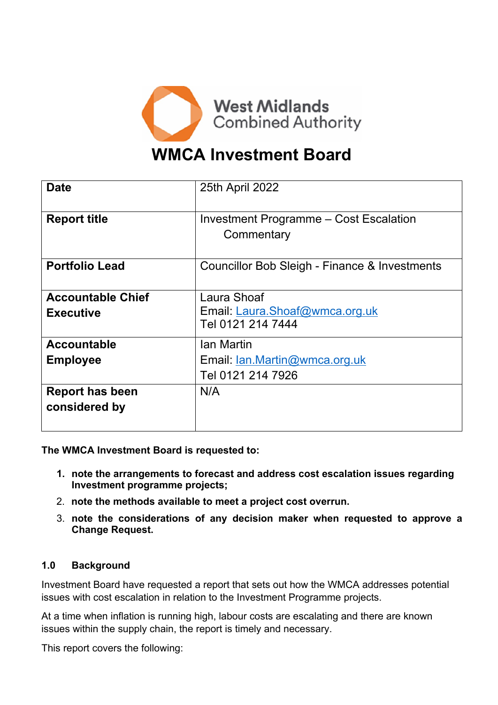

# **WMCA Investment Board**

| <b>Date</b>              | 25th April 2022                                      |
|--------------------------|------------------------------------------------------|
| <b>Report title</b>      | Investment Programme - Cost Escalation<br>Commentary |
| <b>Portfolio Lead</b>    | Councillor Bob Sleigh - Finance & Investments        |
| <b>Accountable Chief</b> | Laura Shoaf                                          |
| <b>Executive</b>         | Email: Laura.Shoaf@wmca.org.uk                       |
|                          | Tel 0121 214 7444                                    |
| <b>Accountable</b>       | Ian Martin                                           |
| <b>Employee</b>          | Email: Ian.Martin@wmca.org.uk                        |
|                          | Tel 0121 214 7926                                    |
| <b>Report has been</b>   | N/A                                                  |
| considered by            |                                                      |

**The WMCA Investment Board is requested to:**

- **1. note the arrangements to forecast and address cost escalation issues regarding Investment programme projects;**
- 2. **note the methods available to meet a project cost overrun.**
- 3. **note the considerations of any decision maker when requested to approve a Change Request.**

#### **1.0 Background**

Investment Board have requested a report that sets out how the WMCA addresses potential issues with cost escalation in relation to the Investment Programme projects.

At a time when inflation is running high, labour costs are escalating and there are known issues within the supply chain, the report is timely and necessary.

This report covers the following: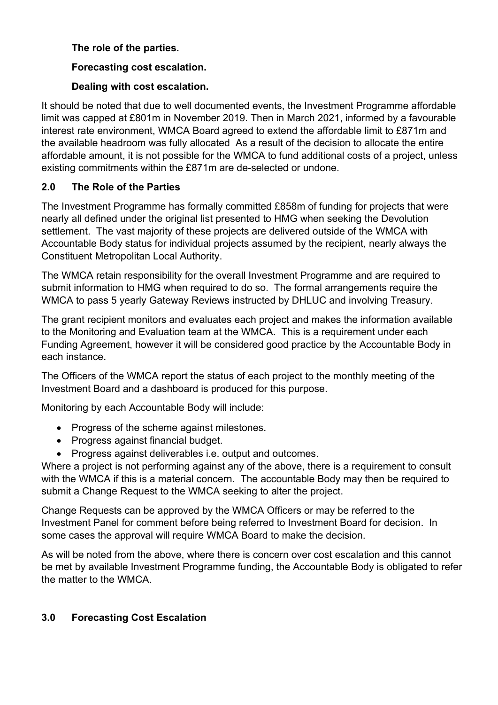### **The role of the parties.**

### **Forecasting cost escalation.**

#### **Dealing with cost escalation.**

It should be noted that due to well documented events, the Investment Programme affordable limit was capped at £801m in November 2019. Then in March 2021, informed by a favourable interest rate environment, WMCA Board agreed to extend the affordable limit to £871m and the available headroom was fully allocated As a result of the decision to allocate the entire affordable amount, it is not possible for the WMCA to fund additional costs of a project, unless existing commitments within the £871m are de-selected or undone.

### **2.0 The Role of the Parties**

The Investment Programme has formally committed £858m of funding for projects that were nearly all defined under the original list presented to HMG when seeking the Devolution settlement. The vast majority of these projects are delivered outside of the WMCA with Accountable Body status for individual projects assumed by the recipient, nearly always the Constituent Metropolitan Local Authority.

The WMCA retain responsibility for the overall Investment Programme and are required to submit information to HMG when required to do so. The formal arrangements require the WMCA to pass 5 yearly Gateway Reviews instructed by DHLUC and involving Treasury.

The grant recipient monitors and evaluates each project and makes the information available to the Monitoring and Evaluation team at the WMCA. This is a requirement under each Funding Agreement, however it will be considered good practice by the Accountable Body in each instance.

The Officers of the WMCA report the status of each project to the monthly meeting of the Investment Board and a dashboard is produced for this purpose.

Monitoring by each Accountable Body will include:

- Progress of the scheme against milestones.
- Progress against financial budget.
- Progress against deliverables i.e. output and outcomes.

Where a project is not performing against any of the above, there is a requirement to consult with the WMCA if this is a material concern. The accountable Body may then be required to submit a Change Request to the WMCA seeking to alter the project.

Change Requests can be approved by the WMCA Officers or may be referred to the Investment Panel for comment before being referred to Investment Board for decision. In some cases the approval will require WMCA Board to make the decision.

As will be noted from the above, where there is concern over cost escalation and this cannot be met by available Investment Programme funding, the Accountable Body is obligated to refer the matter to the WMCA.

### **3.0 Forecasting Cost Escalation**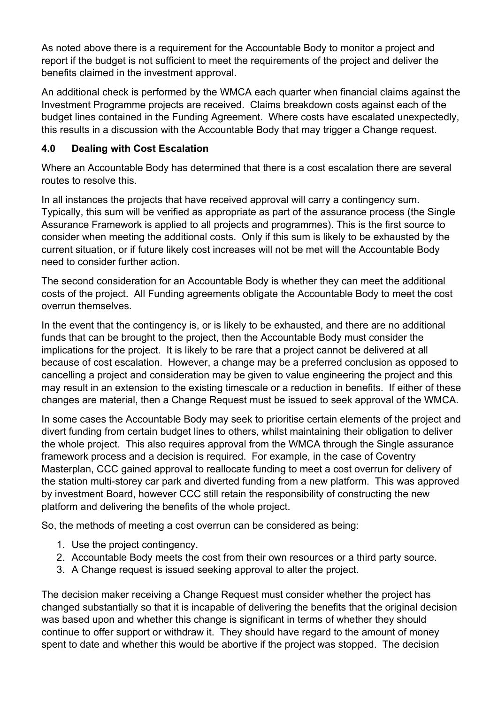As noted above there is a requirement for the Accountable Body to monitor a project and report if the budget is not sufficient to meet the requirements of the project and deliver the benefits claimed in the investment approval.

An additional check is performed by the WMCA each quarter when financial claims against the Investment Programme projects are received. Claims breakdown costs against each of the budget lines contained in the Funding Agreement. Where costs have escalated unexpectedly, this results in a discussion with the Accountable Body that may trigger a Change request.

## **4.0 Dealing with Cost Escalation**

Where an Accountable Body has determined that there is a cost escalation there are several routes to resolve this.

In all instances the projects that have received approval will carry a contingency sum. Typically, this sum will be verified as appropriate as part of the assurance process (the Single Assurance Framework is applied to all projects and programmes). This is the first source to consider when meeting the additional costs. Only if this sum is likely to be exhausted by the current situation, or if future likely cost increases will not be met will the Accountable Body need to consider further action.

The second consideration for an Accountable Body is whether they can meet the additional costs of the project. All Funding agreements obligate the Accountable Body to meet the cost overrun themselves.

In the event that the contingency is, or is likely to be exhausted, and there are no additional funds that can be brought to the project, then the Accountable Body must consider the implications for the project. It is likely to be rare that a project cannot be delivered at all because of cost escalation. However, a change may be a preferred conclusion as opposed to cancelling a project and consideration may be given to value engineering the project and this may result in an extension to the existing timescale or a reduction in benefits. If either of these changes are material, then a Change Request must be issued to seek approval of the WMCA.

In some cases the Accountable Body may seek to prioritise certain elements of the project and divert funding from certain budget lines to others, whilst maintaining their obligation to deliver the whole project. This also requires approval from the WMCA through the Single assurance framework process and a decision is required. For example, in the case of Coventry Masterplan, CCC gained approval to reallocate funding to meet a cost overrun for delivery of the station multi-storey car park and diverted funding from a new platform. This was approved by investment Board, however CCC still retain the responsibility of constructing the new platform and delivering the benefits of the whole project.

So, the methods of meeting a cost overrun can be considered as being:

- 1. Use the project contingency.
- 2. Accountable Body meets the cost from their own resources or a third party source.
- 3. A Change request is issued seeking approval to alter the project.

The decision maker receiving a Change Request must consider whether the project has changed substantially so that it is incapable of delivering the benefits that the original decision was based upon and whether this change is significant in terms of whether they should continue to offer support or withdraw it. They should have regard to the amount of money spent to date and whether this would be abortive if the project was stopped. The decision